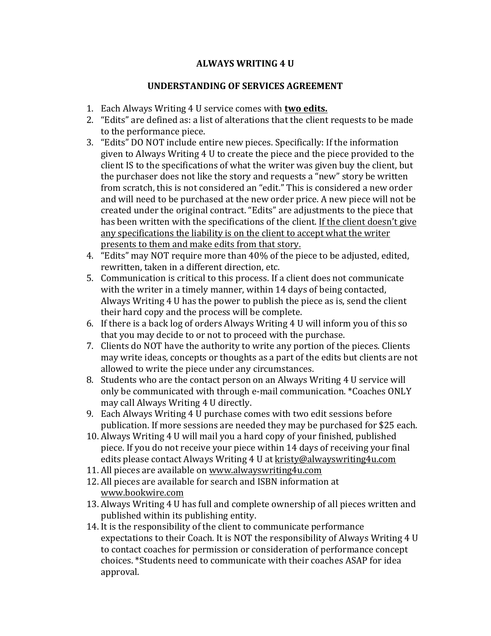## **ALWAYS WRITING 4 U**

## **UNDERSTANDING OF SERVICES AGREEMENT**

- 1. Each Always Writing 4 U service comes with **two edits.**
- 2. "Edits" are defined as: a list of alterations that the client requests to be made to the performance piece.
- 3. "Edits" DO NOT include entire new pieces. Specifically: If the information given to Always Writing 4 U to create the piece and the piece provided to the client IS to the specifications of what the writer was given buy the client, but the purchaser does not like the story and requests a "new" story be written from scratch, this is not considered an "edit." This is considered a new order and will need to be purchased at the new order price. A new piece will not be created under the original contract. "Edits" are adjustments to the piece that has been written with the specifications of the client. If the client doesn't give any specifications the liability is on the client to accept what the writer presents to them and make edits from that story.
- 4. "Edits" may NOT require more than 40% of the piece to be adjusted, edited, rewritten, taken in a different direction, etc.
- 5. Communication is critical to this process. If a client does not communicate with the writer in a timely manner, within 14 days of being contacted, Always Writing 4 U has the power to publish the piece as is, send the client their hard copy and the process will be complete.
- 6. If there is a back  $log$  of orders Always Writing 4 U will inform you of this so that you may decide to or not to proceed with the purchase.
- 7. Clients do NOT have the authority to write any portion of the pieces. Clients may write ideas, concepts or thoughts as a part of the edits but clients are not allowed to write the piece under any circumstances.
- 8. Students who are the contact person on an Always Writing 4 U service will only be communicated with through e-mail communication. \*Coaches ONLY may call Always Writing 4 U directly.
- 9. Each Always Writing 4 U purchase comes with two edit sessions before publication. If more sessions are needed they may be purchased for \$25 each.
- 10. Always Writing 4 U will mail you a hard copy of your finished, published piece. If you do not receive your piece within 14 days of receiving your final edits please contact Always Writing 4 U at kristy@alwayswriting4u.com
- 11. All pieces are available on www.alwayswriting4u.com
- 12. All pieces are available for search and ISBN information at www.bookwire.com
- 13. Always Writing 4 U has full and complete ownership of all pieces written and published within its publishing entity.
- 14. It is the responsibility of the client to communicate performance expectations to their Coach. It is NOT the responsibility of Always Writing 4 U to contact coaches for permission or consideration of performance concept choices. \*Students need to communicate with their coaches ASAP for idea approval.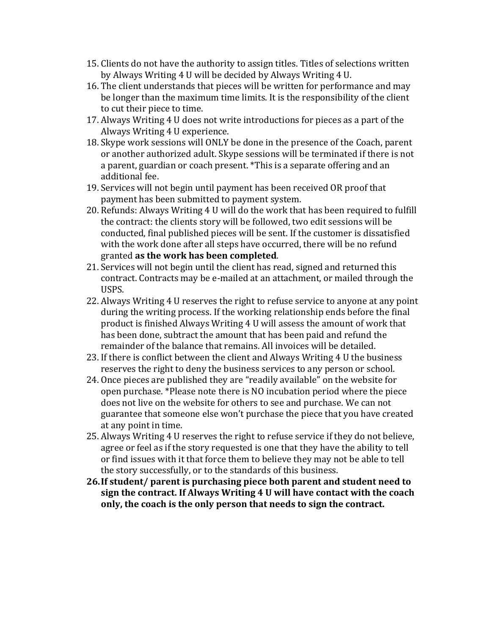- 15. Clients do not have the authority to assign titles. Titles of selections written by Always Writing 4 U will be decided by Always Writing 4 U.
- 16. The client understands that pieces will be written for performance and may be longer than the maximum time limits. It is the responsibility of the client to cut their piece to time.
- 17. Always Writing 4 U does not write introductions for pieces as a part of the Always Writing 4 U experience.
- 18. Skype work sessions will ONLY be done in the presence of the Coach, parent or another authorized adult. Skype sessions will be terminated if there is not a parent, guardian or coach present. \*This is a separate offering and an additional fee.
- 19. Services will not begin until payment has been received OR proof that payment has been submitted to payment system.
- 20. Refunds: Always Writing 4 U will do the work that has been required to fulfill the contract: the clients story will be followed, two edit sessions will be conducted, final published pieces will be sent. If the customer is dissatisfied with the work done after all steps have occurred, there will be no refund granted as the work has been completed.
- 21. Services will not begin until the client has read, signed and returned this contract. Contracts may be e-mailed at an attachment, or mailed through the USPS.
- 22. Always Writing 4 U reserves the right to refuse service to anyone at any point during the writing process. If the working relationship ends before the final product is finished Always Writing 4 U will assess the amount of work that has been done, subtract the amount that has been paid and refund the remainder of the balance that remains. All invoices will be detailed.
- 23. If there is conflict between the client and Always Writing 4 U the business reserves the right to deny the business services to any person or school.
- 24. Once pieces are published they are "readily available" on the website for open purchase. \*Please note there is NO incubation period where the piece does not live on the website for others to see and purchase. We can not guarantee that someone else won't purchase the piece that you have created at any point in time.
- 25. Always Writing 4 U reserves the right to refuse service if they do not believe, agree or feel as if the story requested is one that they have the ability to tell or find issues with it that force them to believe they may not be able to tell the story successfully, or to the standards of this business.
- **26. If student/** parent is purchasing piece both parent and student need to **sign the contract. If Always Writing 4 U will have contact with the coach** only, the coach is the only person that needs to sign the contract.